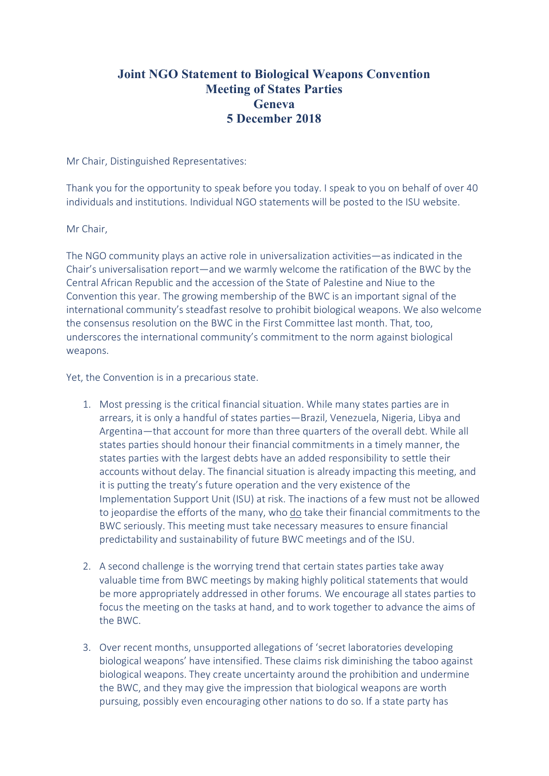# **Joint NGO Statement to Biological Weapons Convention Meeting of States Parties Geneva 5 December 2018**

Mr Chair, Distinguished Representatives:

Thank you for the opportunity to speak before you today. I speak to you on behalf of over 40 individuals and institutions. Individual NGO statements will be posted to the ISU website.

### Mr Chair,

The NGO community plays an active role in universalization activities—as indicated in the Chair's universalisation report—and we warmly welcome the ratification of the BWC by the Central African Republic and the accession of the State of Palestine and Niue to the Convention this year. The growing membership of the BWC is an important signal of the international community's steadfast resolve to prohibit biological weapons. We also welcome the consensus resolution on the BWC in the First Committee last month. That, too, underscores the international community's commitment to the norm against biological weapons.

Yet, the Convention is in a precarious state.

- 1. Most pressing is the critical financial situation. While many states parties are in arrears, it is only a handful of states parties—Brazil, Venezuela, Nigeria, Libya and Argentina—that account for more than three quarters of the overall debt. While all states parties should honour their financial commitments in a timely manner, the states parties with the largest debts have an added responsibility to settle their accounts without delay. The financial situation is already impacting this meeting, and it is putting the treaty's future operation and the very existence of the Implementation Support Unit (ISU) at risk. The inactions of a few must not be allowed to jeopardise the efforts of the many, who do take their financial commitments to the BWC seriously. This meeting must take necessary measures to ensure financial predictability and sustainability of future BWC meetings and of the ISU.
- 2. A second challenge is the worrying trend that certain states parties take away valuable time from BWC meetings by making highly political statements that would be more appropriately addressed in other forums. We encourage all states parties to focus the meeting on the tasks at hand, and to work together to advance the aims of the BWC.
- 3. Over recent months, unsupported allegations of 'secret laboratories developing biological weapons' have intensified. These claims risk diminishing the taboo against biological weapons. They create uncertainty around the prohibition and undermine the BWC, and they may give the impression that biological weapons are worth pursuing, possibly even encouraging other nations to do so. If a state party has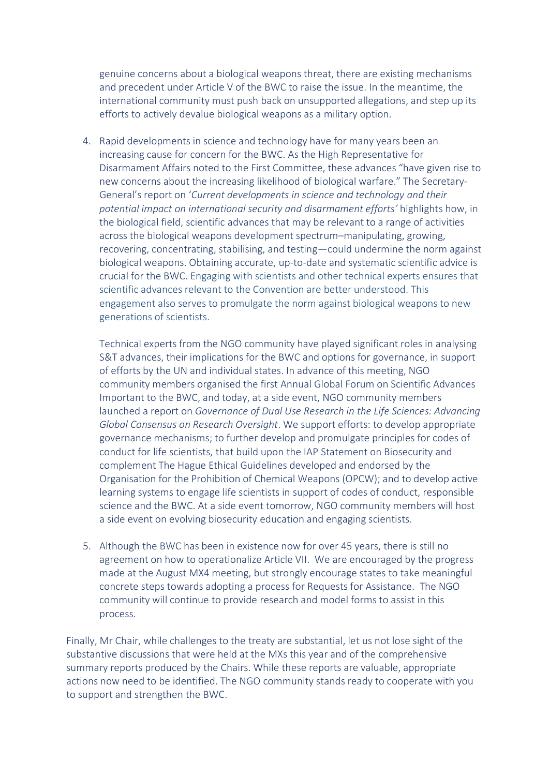genuine concerns about a biological weapons threat, there are existing mechanisms and precedent under Article V of the BWC to raise the issue. In the meantime, the international community must push back on unsupported allegations, and step up its efforts to actively devalue biological weapons as a military option.

4. Rapid developments in science and technology have for many years been an increasing cause for concern for the BWC. As the High Representative for Disarmament Affairs noted to the First Committee, these advances "have given rise to new concerns about the increasing likelihood of biological warfare." The Secretary-General's report on '*Current developments in science and technology and their potential impact on international security and disarmament efforts'* highlights how, in the biological field, scientific advances that may be relevant to a range of activities across the biological weapons development spectrum–manipulating, growing, recovering, concentrating, stabilising, and testing—could undermine the norm against biological weapons. Obtaining accurate, up-to-date and systematic scientific advice is crucial for the BWC. Engaging with scientists and other technical experts ensures that scientific advances relevant to the Convention are better understood. This engagement also serves to promulgate the norm against biological weapons to new generations of scientists.

Technical experts from the NGO community have played significant roles in analysing S&T advances, their implications for the BWC and options for governance, in support of efforts by the UN and individual states. In advance of this meeting, NGO community members organised the first Annual Global Forum on Scientific Advances Important to the BWC, and today, at a side event, NGO community members launched a report on *Governance of Dual Use Research in the Life Sciences: Advancing Global Consensus on Research Oversight*. We support efforts: to develop appropriate governance mechanisms; to further develop and promulgate principles for codes of conduct for life scientists, that build upon the IAP Statement on Biosecurity and complement The Hague Ethical Guidelines developed and endorsed by the Organisation for the Prohibition of Chemical Weapons (OPCW); and to develop active learning systems to engage life scientists in support of codes of conduct, responsible science and the BWC. At a side event tomorrow, NGO community members will host a side event on evolving biosecurity education and engaging scientists.

5. Although the BWC has been in existence now for over 45 years, there is still no agreement on how to operationalize Article VII. We are encouraged by the progress made at the August MX4 meeting, but strongly encourage states to take meaningful concrete steps towards adopting a process for Requests for Assistance. The NGO community will continue to provide research and model forms to assist in this process.

Finally, Mr Chair, while challenges to the treaty are substantial, let us not lose sight of the substantive discussions that were held at the MXs this year and of the comprehensive summary reports produced by the Chairs. While these reports are valuable, appropriate actions now need to be identified. The NGO community stands ready to cooperate with you to support and strengthen the BWC.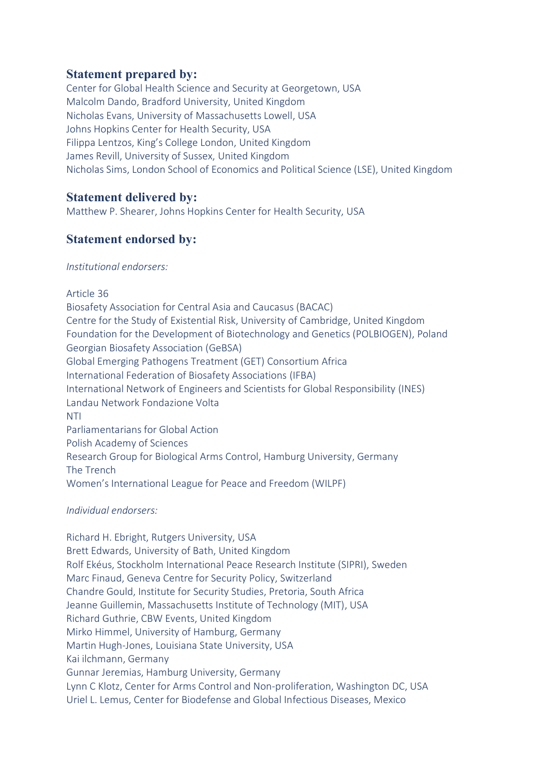# **Statement prepared by:**

Center for Global Health Science and Security at Georgetown, USA Malcolm Dando, Bradford University, United Kingdom Nicholas Evans, University of Massachusetts Lowell, USA Johns Hopkins Center for Health Security, USA Filippa Lentzos, King's College London, United Kingdom James Revill, University of Sussex, United Kingdom Nicholas Sims, London School of Economics and Political Science (LSE), United Kingdom

## **Statement delivered by:**

Matthew P. Shearer, Johns Hopkins Center for Health Security, USA

# **Statement endorsed by:**

### *Institutional endorsers:*

Article 36 Biosafety Association for Central Asia and Caucasus (BACAC) Centre for the Study of Existential Risk, University of Cambridge, United Kingdom Foundation for the Development of Biotechnology and Genetics (POLBIOGEN), Poland Georgian Biosafety Association (GeBSA) Global Emerging Pathogens Treatment (GET) Consortium Africa International Federation of Biosafety Associations (IFBA) International Network of Engineers and Scientists for Global Responsibility (INES) Landau Network Fondazione Volta NTI Parliamentarians for Global Action Polish Academy of Sciences Research Group for Biological Arms Control, Hamburg University, Germany The Trench Women's International League for Peace and Freedom (WILPF)

### *Individual endorsers:*

Richard H. Ebright, Rutgers University, USA Brett Edwards, University of Bath, United Kingdom Rolf Ekéus, Stockholm International Peace Research Institute (SIPRI), Sweden Marc Finaud, Geneva Centre for Security Policy, Switzerland Chandre Gould, Institute for Security Studies, Pretoria, South Africa Jeanne Guillemin, Massachusetts Institute of Technology (MIT), USA Richard Guthrie, CBW Events, United Kingdom Mirko Himmel, University of Hamburg, Germany Martin Hugh-Jones, Louisiana State University, USA Kai ilchmann, Germany Gunnar Jeremias, Hamburg University, Germany Lynn C Klotz, Center for Arms Control and Non-proliferation, Washington DC, USA Uriel L. Lemus, Center for Biodefense and Global Infectious Diseases, Mexico